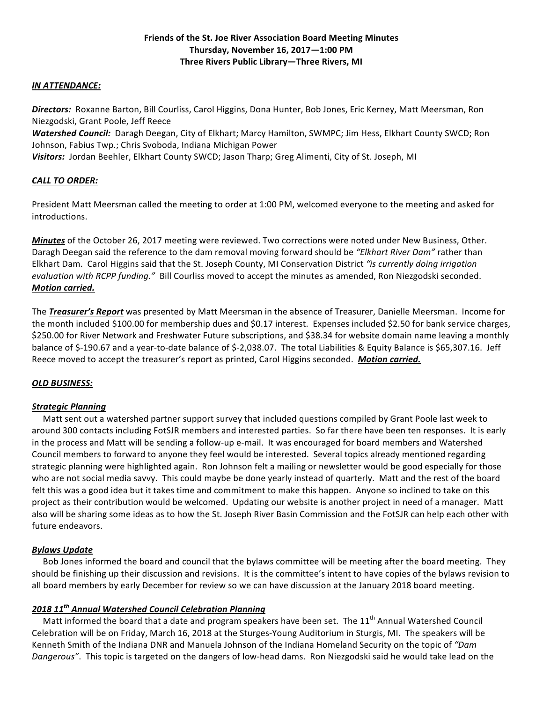#### *IN ATTENDANCE:*

**Directors:** Roxanne Barton, Bill Courliss, Carol Higgins, Dona Hunter, Bob Jones, Eric Kerney, Matt Meersman, Ron Niezgodski, Grant Poole, Jeff Reece

Watershed Council: Daragh Deegan, City of Elkhart; Marcy Hamilton, SWMPC; Jim Hess, Elkhart County SWCD; Ron Johnson, Fabius Twp.; Chris Svoboda, Indiana Michigan Power

Visitors: Jordan Beehler, Elkhart County SWCD; Jason Tharp; Greg Alimenti, City of St. Joseph, MI

# *CALL TO ORDER:*

President Matt Meersman called the meeting to order at 1:00 PM, welcomed everyone to the meeting and asked for introductions.

*Minutes* of the October 26, 2017 meeting were reviewed. Two corrections were noted under New Business, Other. Daragh Deegan said the reference to the dam removal moving forward should be "Elkhart River Dam" rather than Elkhart Dam. Carol Higgins said that the St. Joseph County, MI Conservation District "is currently doing irrigation *evaluation* with RCPP funding." Bill Courliss moved to accept the minutes as amended, Ron Niezgodski seconded. *Motion carried.*

The **Treasurer's Report** was presented by Matt Meersman in the absence of Treasurer, Danielle Meersman. Income for the month included \$100.00 for membership dues and \$0.17 interest. Expenses included \$2.50 for bank service charges, \$250.00 for River Network and Freshwater Future subscriptions, and \$38.34 for website domain name leaving a monthly balance of \$-190.67 and a year-to-date balance of \$-2,038.07. The total Liabilities & Equity Balance is \$65,307.16. Jeff Reece moved to accept the treasurer's report as printed, Carol Higgins seconded. *Motion carried.* 

# *OLD BUSINESS:*

#### *Strategic Planning*

Matt sent out a watershed partner support survey that included questions compiled by Grant Poole last week to around 300 contacts including FotSJR members and interested parties. So far there have been ten responses. It is early in the process and Matt will be sending a follow-up e-mail. It was encouraged for board members and Watershed Council members to forward to anyone they feel would be interested. Several topics already mentioned regarding strategic planning were highlighted again. Ron Johnson felt a mailing or newsletter would be good especially for those who are not social media savvy. This could maybe be done yearly instead of quarterly. Matt and the rest of the board felt this was a good idea but it takes time and commitment to make this happen. Anyone so inclined to take on this project as their contribution would be welcomed. Updating our website is another project in need of a manager. Matt also will be sharing some ideas as to how the St. Joseph River Basin Commission and the FotSJR can help each other with future endeavors.

#### *Bylaws Update*

Bob Jones informed the board and council that the bylaws committee will be meeting after the board meeting. They should be finishing up their discussion and revisions. It is the committee's intent to have copies of the bylaws revision to all board members by early December for review so we can have discussion at the January 2018 board meeting.

#### *2018 11th Annual Watershed Council Celebration Planning*

Matt informed the board that a date and program speakers have been set. The 11<sup>th</sup> Annual Watershed Council Celebration will be on Friday, March 16, 2018 at the Sturges-Young Auditorium in Sturgis, MI. The speakers will be Kenneth Smith of the Indiana DNR and Manuela Johnson of the Indiana Homeland Security on the topic of "Dam Dangerous". This topic is targeted on the dangers of low-head dams. Ron Niezgodski said he would take lead on the